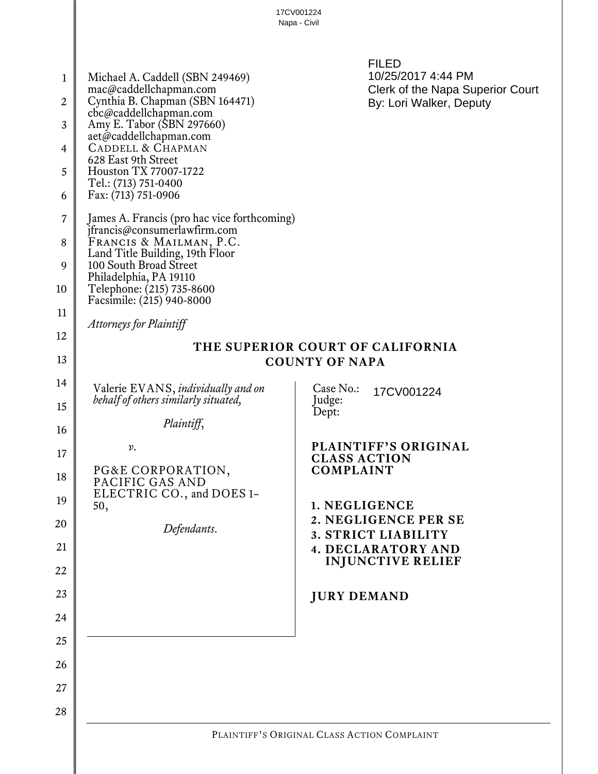|                                                                            | 17CV001224<br>Napa - Civil                                                                                                                                                                                                                                                            |                                                                                                                                                                                                                                                                     |  |
|----------------------------------------------------------------------------|---------------------------------------------------------------------------------------------------------------------------------------------------------------------------------------------------------------------------------------------------------------------------------------|---------------------------------------------------------------------------------------------------------------------------------------------------------------------------------------------------------------------------------------------------------------------|--|
| 1<br>$\overline{2}$<br>3<br>$\overline{4}$<br>5                            | Michael A. Caddell (SBN 249469)<br>mac@caddellchapman.com<br>Cynthia B. Chapman (SBN 164471)<br>cbc@caddellchapman.com<br>Amy E. Tabor (SBN 297660)<br>aet@caddellchapman.com<br><b>CADDELL &amp; CHAPMAN</b><br>628 East 9th Street<br>Houston TX 77007-1722<br>Tel.: (713) 751-0400 | <b>FILED</b><br>10/25/2017 4:44 PM<br>Clerk of the Napa Superior Court<br>By: Lori Walker, Deputy                                                                                                                                                                   |  |
| 6<br>7<br>8                                                                | Fax: (713) 751-0906<br>James A. Francis (pro hac vice forthcoming)<br>jfrancis@consumerlawfirm.com<br>FRANCIS & MAILMAN, P.C.                                                                                                                                                         |                                                                                                                                                                                                                                                                     |  |
| 9<br>10                                                                    | Land Title Building, 19th Floor<br>100 South Broad Street<br>Philadelphia, PA 19110<br>Telephone: (215) 735-8600<br>Facsimile: (215) 940-8000                                                                                                                                         |                                                                                                                                                                                                                                                                     |  |
| 11                                                                         | <b>Attorneys for Plaintiff</b>                                                                                                                                                                                                                                                        |                                                                                                                                                                                                                                                                     |  |
| 12<br>13                                                                   | THE SUPERIOR COURT OF CALIFORNIA<br><b>COUNTY OF NAPA</b>                                                                                                                                                                                                                             |                                                                                                                                                                                                                                                                     |  |
| 14<br>15<br>16<br>17<br>18<br>19<br>20<br>21<br>22<br>23<br>24<br>25<br>26 | Valerie EVANS, individually and on<br>behalf of others similarly situated,<br>Plaintiff,<br>$\nu$ .<br>PG&E CORPORATION,<br>PACIFIC GAS AND<br>ELECTRIC CO., and DOES 1-<br>50,<br>Defendants.                                                                                        | Case No.:<br>17CV001224<br>Judge:<br>Dept:<br><b>PLAINTIFF'S ORIGINAL</b><br><b>CLASS ACTION</b><br><b>COMPLAINT</b><br>1. NEGLIGENCE<br>2. NEGLIGENCE PER SE<br>3. STRICT LIABILITY<br><b>4. DECLARATORY AND</b><br><b>INJUNCTIVE RELIEF</b><br><b>JURY DEMAND</b> |  |
| 27<br>28                                                                   |                                                                                                                                                                                                                                                                                       |                                                                                                                                                                                                                                                                     |  |
|                                                                            | PLAINTIFF'S ORIGINAL CLASS ACTION COMPLAINT                                                                                                                                                                                                                                           |                                                                                                                                                                                                                                                                     |  |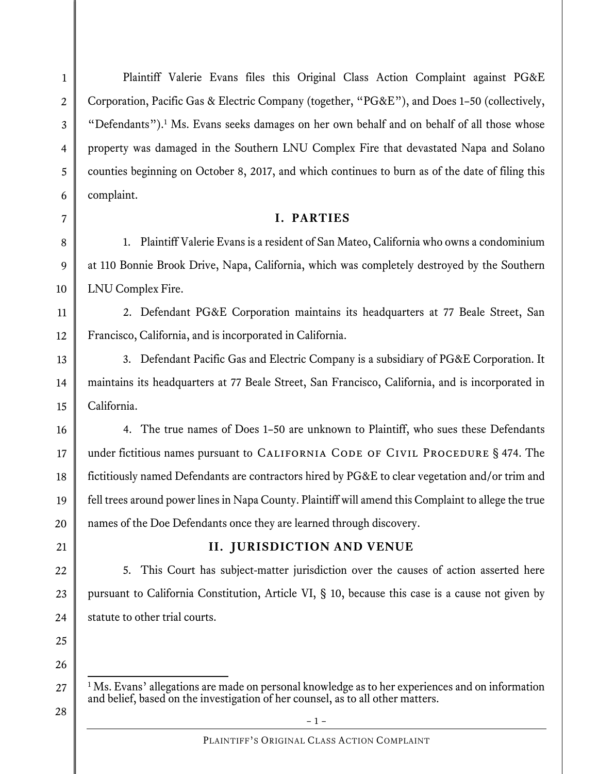1

2

Plaintiff Valerie Evans files this Original Class Action Complaint against PG&E Corporation, Pacific Gas & Electric Company (together, "PG&E"), and Does 1–50 (collectively, "Defendants").<sup>1</sup> Ms. Evans seeks damages on her own behalf and on behalf of all those whose property was damaged in the Southern LNU Complex Fire that devastated Napa and Solano counties beginning on October 8, 2017, and which continues to burn as of the date of filing this complaint.

## **I. PARTIES**

1. Plaintiff Valerie Evans is a resident of San Mateo, California who owns a condominium at 110 Bonnie Brook Drive, Napa, California, which was completely destroyed by the Southern LNU Complex Fire.

2. Defendant PG&E Corporation maintains its headquarters at 77 Beale Street, San Francisco, California, and is incorporated in California.

3. Defendant Pacific Gas and Electric Company is a subsidiary of PG&E Corporation. It maintains its headquarters at 77 Beale Street, San Francisco, California, and is incorporated in California.

4. The true names of Does 1–50 are unknown to Plaintiff, who sues these Defendants under fictitious names pursuant to CALIFORNIA CODE OF CIVIL PROCEDURE § 474. The fictitiously named Defendants are contractors hired by PG&E to clear vegetation and/or trim and fell trees around power lines in Napa County. Plaintiff will amend this Complaint to allege the true names of the Doe Defendants once they are learned through discovery.

## **II. JURISDICTION AND VENUE**

5. This Court has subject-matter jurisdiction over the causes of action asserted here pursuant to California Constitution, Article VI, § 10, because this case is a cause not given by statute to other trial courts.

 $\frac{1}{1}$ Ms. Evans' allegations are made on personal knowledge as to her experiences and on information and belief, based on the investigation of her counsel, as to all other matters.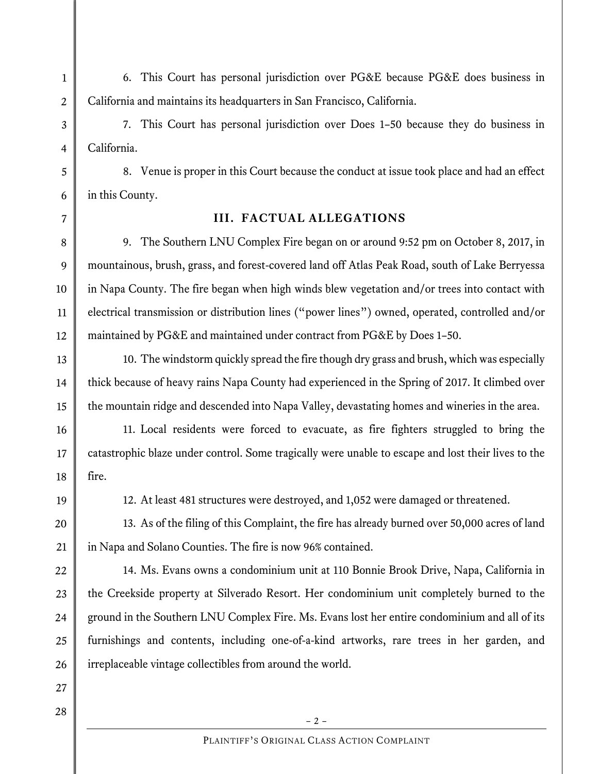6. This Court has personal jurisdiction over PG&E because PG&E does business in California and maintains its headquarters in San Francisco, California.

7. This Court has personal jurisdiction over Does 1–50 because they do business in California.

8. Venue is proper in this Court because the conduct at issue took place and had an effect in this County.

## **III. FACTUAL ALLEGATIONS**

9. The Southern LNU Complex Fire began on or around 9:52 pm on October 8, 2017, in mountainous, brush, grass, and forest-covered land off Atlas Peak Road, south of Lake Berryessa in Napa County. The fire began when high winds blew vegetation and/or trees into contact with electrical transmission or distribution lines ("power lines") owned, operated, controlled and/or maintained by PG&E and maintained under contract from PG&E by Does 1–50.

10. The windstorm quickly spread the fire though dry grass and brush, which was especially thick because of heavy rains Napa County had experienced in the Spring of 2017. It climbed over the mountain ridge and descended into Napa Valley, devastating homes and wineries in the area.

11. Local residents were forced to evacuate, as fire fighters struggled to bring the catastrophic blaze under control. Some tragically were unable to escape and lost their lives to the fire.

12. At least 481 structures were destroyed, and 1,052 were damaged or threatened.

13. As of the filing of this Complaint, the fire has already burned over 50,000 acres of land in Napa and Solano Counties. The fire is now 96% contained.

14. Ms. Evans owns a condominium unit at 110 Bonnie Brook Drive, Napa, California in the Creekside property at Silverado Resort. Her condominium unit completely burned to the ground in the Southern LNU Complex Fire. Ms. Evans lost her entire condominium and all of its furnishings and contents, including one-of-a-kind artworks, rare trees in her garden, and irreplaceable vintage collectibles from around the world.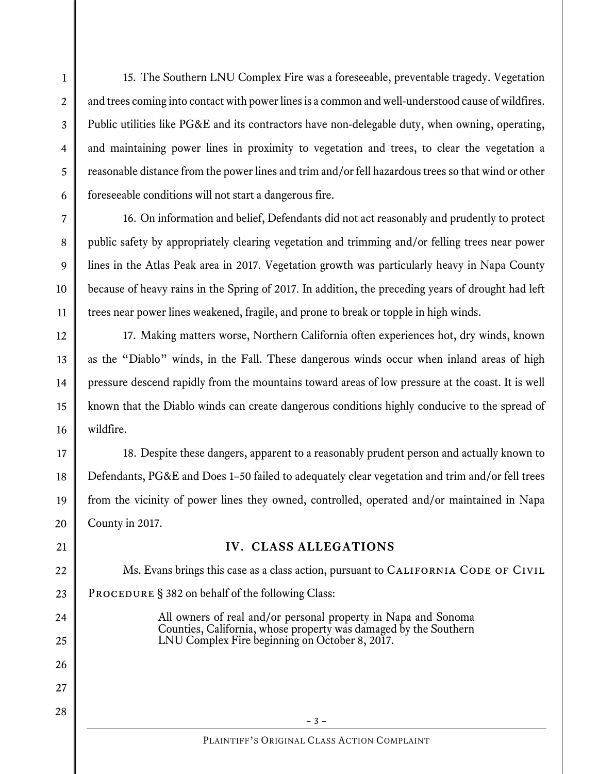15. The Southern LNU Complex Fire was a foreseeable, preventable tragedy. Vegetation and trees coming into contact with power lines is a common and well-understood cause of wildfires. Public utilities like PG&E and its contractors have non-delegable duty, when owning, operating, and maintaining power lines in proximity to vegetation and trees, to clear the vegetation a reasonable distance from the power lines and trim and/or fell hazardous trees so that wind or other foreseeable conditions will not start a dangerous fire.

16. On information and belief, Defendants did not act reasonably and prudently to protect public safety by appropriately clearing vegetation and trimming and/or felling trees near power lines in the Atlas Peak area in 2017. Vegetation growth was particularly heavy in Napa County because of heavy rains in the Spring of 2017. In addition, the preceding years of drought had left trees near power lines weakened, fragile, and prone to break or topple in high winds.

17. Making matters worse, Northern California often experiences hot, dry winds, known as the "Diablo" winds, in the Fall. These dangerous winds occur when inland areas of high pressure descend rapidly from the mountains toward areas of low pressure at the coast. It is well known that the Diablo winds can create dangerous conditions highly conducive to the spread of wildfire.

18. Despite these dangers, apparent to a reasonably prudent person and actually known to Defendants, PG&E and Does 1–50 failed to adequately clear vegetation and trim and/or fell trees from the vicinity of power lines they owned, controlled, operated and/or maintained in Napa County in 2017.

## **IV. CLASS ALLEGATIONS**

Ms. Evans brings this case as a class action, pursuant to CALIFORNIA CODE OF CIVIL PROCEDURE § 382 on behalf of the following Class:

All owners of real and/or personal property in Napa and Sonoma Counties, California, whose property was damaged by the Southern LNU Complex Fire beginning on October 8, 2017.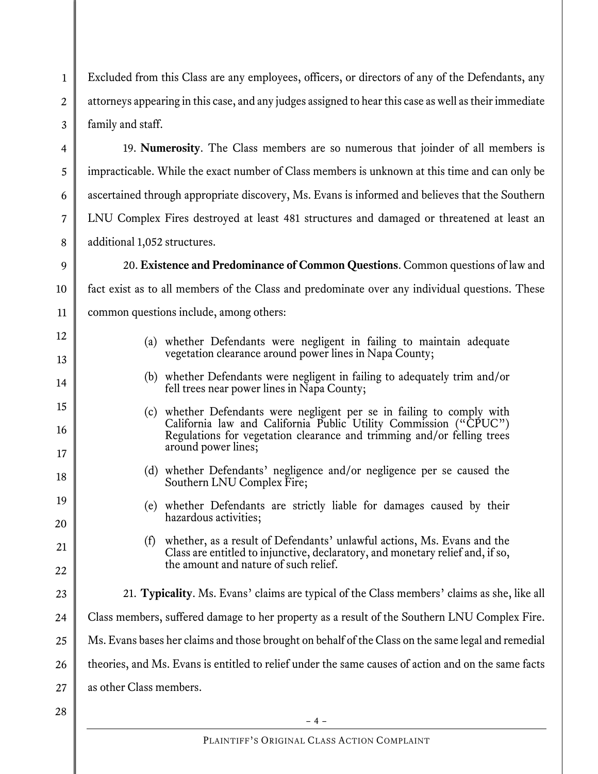Excluded from this Class are any employees, officers, or directors of any of the Defendants, any attorneys appearing in this case, and any judges assigned to hear this case as well as their immediate family and staff.

19. **Numerosity**. The Class members are so numerous that joinder of all members is impracticable. While the exact number of Class members is unknown at this time and can only be ascertained through appropriate discovery, Ms. Evans is informed and believes that the Southern LNU Complex Fires destroyed at least 481 structures and damaged or threatened at least an additional 1,052 structures.

20. **Existence and Predominance of Common Questions**. Common questions of law and fact exist as to all members of the Class and predominate over any individual questions. These common questions include, among others:

- (a) whether Defendants were negligent in failing to maintain adequate vegetation clearance around power lines in Napa County;
- (b) whether Defendants were negligent in failing to adequately trim and/or fell trees near power lines in Napa County;
- (c) whether Defendants were negligent per se in failing to comply with California law and California Public Utility Commission ("CPUC") Regulations for vegetation clearance and trimming and/or felling trees around power lines;
	- (d) whether Defendants' negligence and/or negligence per se caused the Southern LNU Complex Fire;
	- (e) whether Defendants are strictly liable for damages caused by their hazardous activities;
	- (f) whether, as a result of Defendants' unlawful actions, Ms. Evans and the Class are entitled to injunctive, declaratory, and monetary relief and, if so, the amount and nature of such relief.
- 23 24 21. **Typicality**. Ms. Evans' claims are typical of the Class members' claims as she, like all Class members, suffered damage to her property as a result of the Southern LNU Complex Fire. Ms. Evans bases her claims and those brought on behalf of the Class on the same legal and remedial theories, and Ms. Evans is entitled to relief under the same causes of action and on the same facts as other Class members.
- 25 26 27 28

1

2

3

4

5

6

7

8

9

10

11

12

13

14

15

16

17

18

19

20

21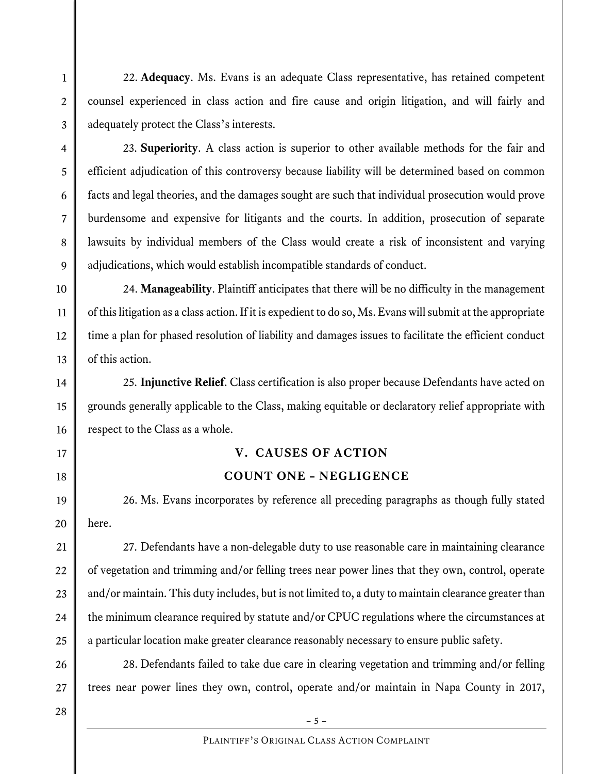22. **Adequacy**. Ms. Evans is an adequate Class representative, has retained competent counsel experienced in class action and fire cause and origin litigation, and will fairly and adequately protect the Class's interests.

3 4

5

6

7

8

9

10

11

12

13

14

15

16

17

18

19

20

21

22

23

24

25

1

2

23. **Superiority**. A class action is superior to other available methods for the fair and efficient adjudication of this controversy because liability will be determined based on common facts and legal theories, and the damages sought are such that individual prosecution would prove burdensome and expensive for litigants and the courts. In addition, prosecution of separate lawsuits by individual members of the Class would create a risk of inconsistent and varying adjudications, which would establish incompatible standards of conduct.

24. **Manageability**. Plaintiff anticipates that there will be no difficulty in the management of this litigation as a class action. If it is expedient to do so, Ms. Evans will submit at the appropriate time a plan for phased resolution of liability and damages issues to facilitate the efficient conduct of this action.

25. **Injunctive Relief**. Class certification is also proper because Defendants have acted on grounds generally applicable to the Class, making equitable or declaratory relief appropriate with respect to the Class as a whole.

## **V. CAUSES OF ACTION**

## **COUNT ONE – NEGLIGENCE**

26. Ms. Evans incorporates by reference all preceding paragraphs as though fully stated here.

27. Defendants have a non-delegable duty to use reasonable care in maintaining clearance of vegetation and trimming and/or felling trees near power lines that they own, control, operate and/or maintain. This duty includes, but is not limited to, a duty to maintain clearance greater than the minimum clearance required by statute and/or CPUC regulations where the circumstances at a particular location make greater clearance reasonably necessary to ensure public safety.

28. Defendants failed to take due care in clearing vegetation and trimming and/or felling trees near power lines they own, control, operate and/or maintain in Napa County in 2017,

26 27 28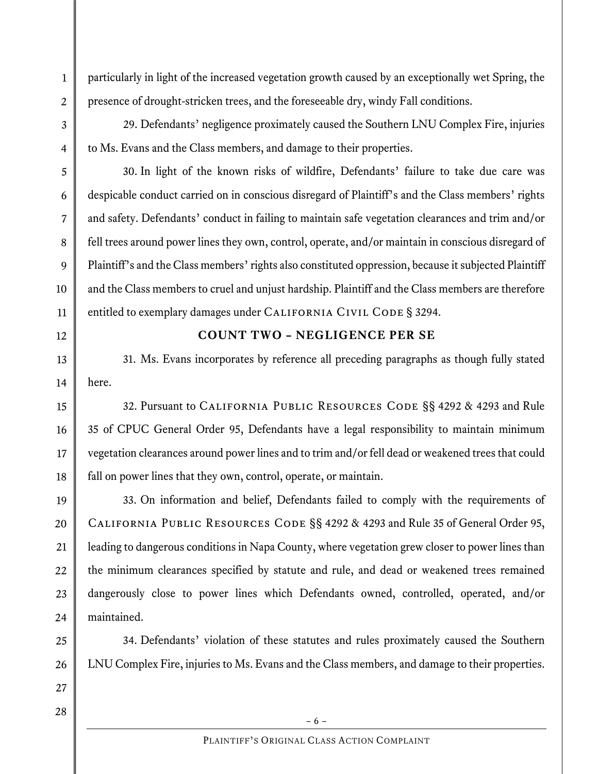particularly in light of the increased vegetation growth caused by an exceptionally wet Spring, the presence of drought-stricken trees, and the foreseeable dry, windy Fall conditions.

29. Defendants' negligence proximately caused the Southern LNU Complex Fire, injuries to Ms. Evans and the Class members, and damage to their properties.

30. In light of the known risks of wildfire, Defendants' failure to take due care was despicable conduct carried on in conscious disregard of Plaintiff's and the Class members' rights and safety. Defendants' conduct in failing to maintain safe vegetation clearances and trim and/or fell trees around power lines they own, control, operate, and/or maintain in conscious disregard of Plaintiff's and the Class members' rights also constituted oppression, because it subjected Plaintiff and the Class members to cruel and unjust hardship. Plaintiff and the Class members are therefore entitled to exemplary damages under CALIFORNIA CIVIL CODE § 3294.

# 12

13

14

15

16

17

18

19

1

2

3

4

5

6

7

8

9

10

11

### **COUNT TWO – NEGLIGENCE PER SE**

31. Ms. Evans incorporates by reference all preceding paragraphs as though fully stated here.

32. Pursuant to California Public Resources Code §§ 4292 & 4293 and Rule 35 of CPUC General Order 95, Defendants have a legal responsibility to maintain minimum vegetation clearances around power lines and to trim and/or fell dead or weakened trees that could fall on power lines that they own, control, operate, or maintain.

33. On information and belief, Defendants failed to comply with the requirements of California Public Resources Code §§ 4292 & 4293 and Rule 35 of General Order 95, leading to dangerous conditions in Napa County, where vegetation grew closer to power lines than the minimum clearances specified by statute and rule, and dead or weakened trees remained dangerously close to power lines which Defendants owned, controlled, operated, and/or maintained.

34. Defendants' violation of these statutes and rules proximately caused the Southern LNU Complex Fire, injuries to Ms. Evans and the Class members, and damage to their properties.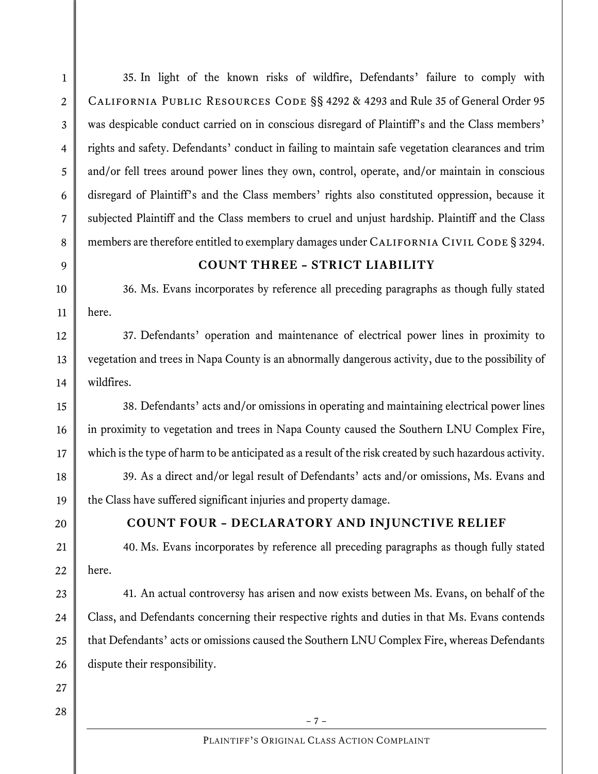35. In light of the known risks of wildfire, Defendants' failure to comply with California Public Resources Code §§ 4292 & 4293 and Rule 35 of General Order 95 was despicable conduct carried on in conscious disregard of Plaintiff's and the Class members' rights and safety. Defendants' conduct in failing to maintain safe vegetation clearances and trim and/or fell trees around power lines they own, control, operate, and/or maintain in conscious disregard of Plaintiff's and the Class members' rights also constituted oppression, because it subjected Plaintiff and the Class members to cruel and unjust hardship. Plaintiff and the Class members are therefore entitled to exemplary damages under CALIFORNIA CIVIL CODE § 3294.

#### **COUNT THREE – STRICT LIABILITY**

36. Ms. Evans incorporates by reference all preceding paragraphs as though fully stated here.

37. Defendants' operation and maintenance of electrical power lines in proximity to vegetation and trees in Napa County is an abnormally dangerous activity, due to the possibility of wildfires.

38. Defendants' acts and/or omissions in operating and maintaining electrical power lines in proximity to vegetation and trees in Napa County caused the Southern LNU Complex Fire, which is the type of harm to be anticipated as a result of the risk created by such hazardous activity.

39. As a direct and/or legal result of Defendants' acts and/or omissions, Ms. Evans and the Class have suffered significant injuries and property damage.

#### **COUNT FOUR – DECLARATORY AND INJUNCTIVE RELIEF**

40. Ms. Evans incorporates by reference all preceding paragraphs as though fully stated here.

41. An actual controversy has arisen and now exists between Ms. Evans, on behalf of the Class, and Defendants concerning their respective rights and duties in that Ms. Evans contends that Defendants' acts or omissions caused the Southern LNU Complex Fire, whereas Defendants dispute their responsibility.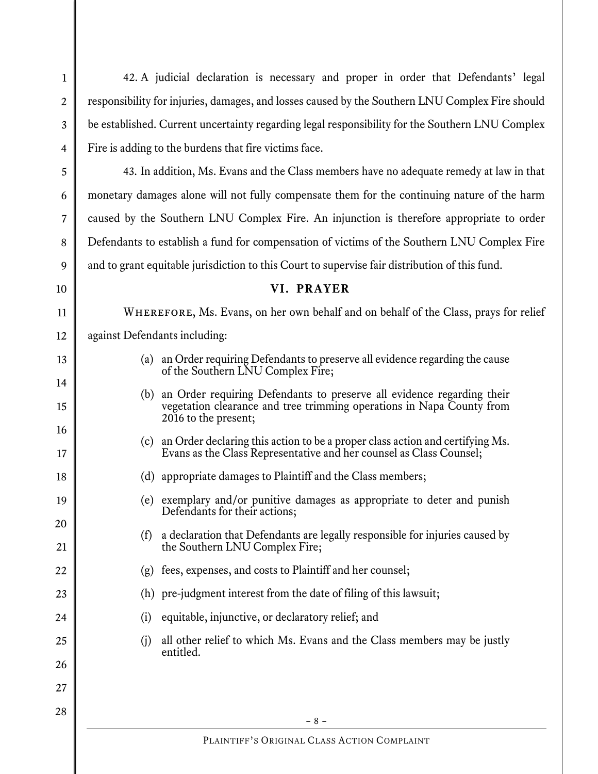2 3 4 5 6 7 8 9 10 11 12 13 14 15 16 17 18 19 20 21 22 23 24 25 26 27 responsibility for injuries, damages, and losses caused by the Southern LNU Complex Fire should be established. Current uncertainty regarding legal responsibility for the Southern LNU Complex Fire is adding to the burdens that fire victims face. 43. In addition, Ms. Evans and the Class members have no adequate remedy at law in that monetary damages alone will not fully compensate them for the continuing nature of the harm caused by the Southern LNU Complex Fire. An injunction is therefore appropriate to order Defendants to establish a fund for compensation of victims of the Southern LNU Complex Fire and to grant equitable jurisdiction to this Court to supervise fair distribution of this fund. **VI. PRAYER**  WHEREFORE, Ms. Evans, on her own behalf and on behalf of the Class, prays for relief against Defendants including: (a) an Order requiring Defendants to preserve all evidence regarding the cause of the Southern LNU Complex Fire; (b) an Order requiring Defendants to preserve all evidence regarding their vegetation clearance and tree trimming operations in Napa County from 2016 to the present; (c) an Order declaring this action to be a proper class action and certifying Ms. Evans as the Class Representative and her counsel as Class Counsel; (d) appropriate damages to Plaintiff and the Class members; (e) exemplary and/or punitive damages as appropriate to deter and punish Defendants for their actions; (f) a declaration that Defendants are legally responsible for injuries caused by the Southern LNU Complex Fire; (g) fees, expenses, and costs to Plaintiff and her counsel; (h) pre-judgment interest from the date of filing of this lawsuit; (i) equitable, injunctive, or declaratory relief; and (j) all other relief to which Ms. Evans and the Class members may be justly entitled.

42. A judicial declaration is necessary and proper in order that Defendants' legal

1